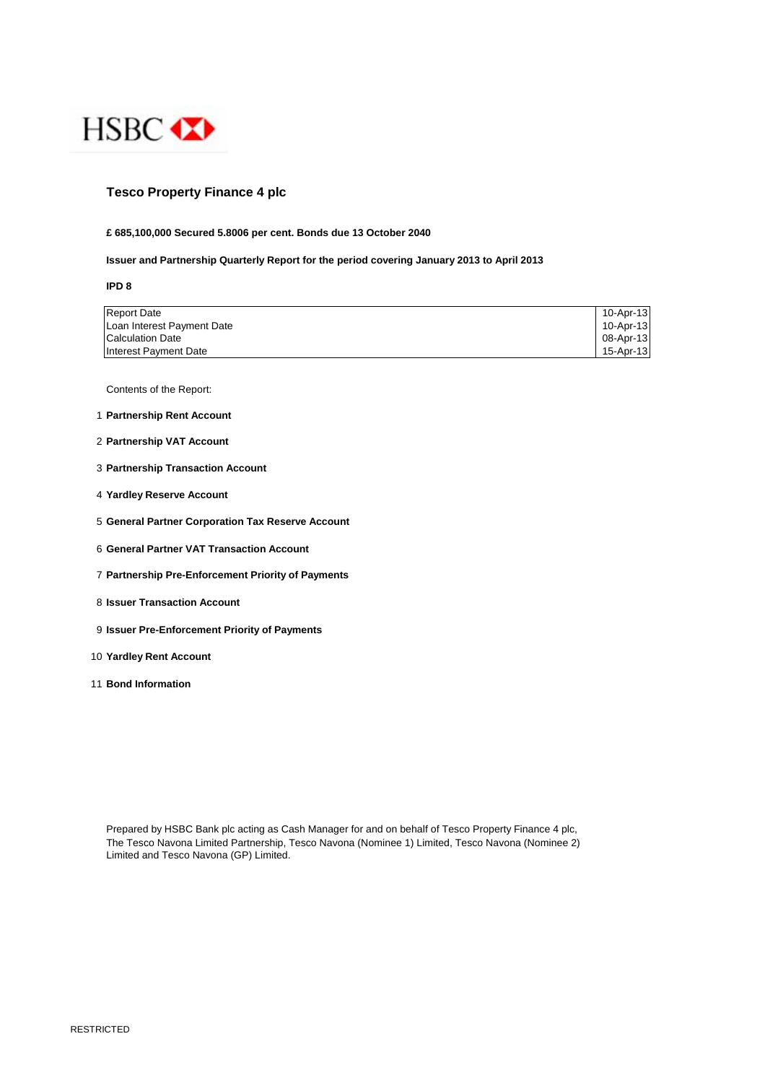

# **Tesco Property Finance 4 plc**

### **£ 685,100,000 Secured 5.8006 per cent. Bonds due 13 October 2040**

## **Issuer and Partnership Quarterly Report for the period covering January 2013 to April 2013**

**IPD 8**

| <b>Report Date</b>         | 10-Apr-13 |
|----------------------------|-----------|
| Loan Interest Payment Date | 10-Apr-13 |
| <b>Calculation Date</b>    | 08-Apr-13 |
| Interest Payment Date      | 15-Apr-13 |

Contents of the Report:

- 1 **Partnership Rent Account**
- 2 **Partnership VAT Account**
- 3 **Partnership Transaction Account**
- 4 **Yardley Reserve Account**
- 5 **General Partner Corporation Tax Reserve Account**
- 6 **General Partner VAT Transaction Account**
- 7 **Partnership Pre-Enforcement Priority of Payments**
- 8 **Issuer Transaction Account**
- 9 **Issuer Pre-Enforcement Priority of Payments**
- 10 **Yardley Rent Account**
- 11 **Bond Information**

Prepared by HSBC Bank plc acting as Cash Manager for and on behalf of Tesco Property Finance 4 plc, The Tesco Navona Limited Partnership, Tesco Navona (Nominee 1) Limited, Tesco Navona (Nominee 2) Limited and Tesco Navona (GP) Limited.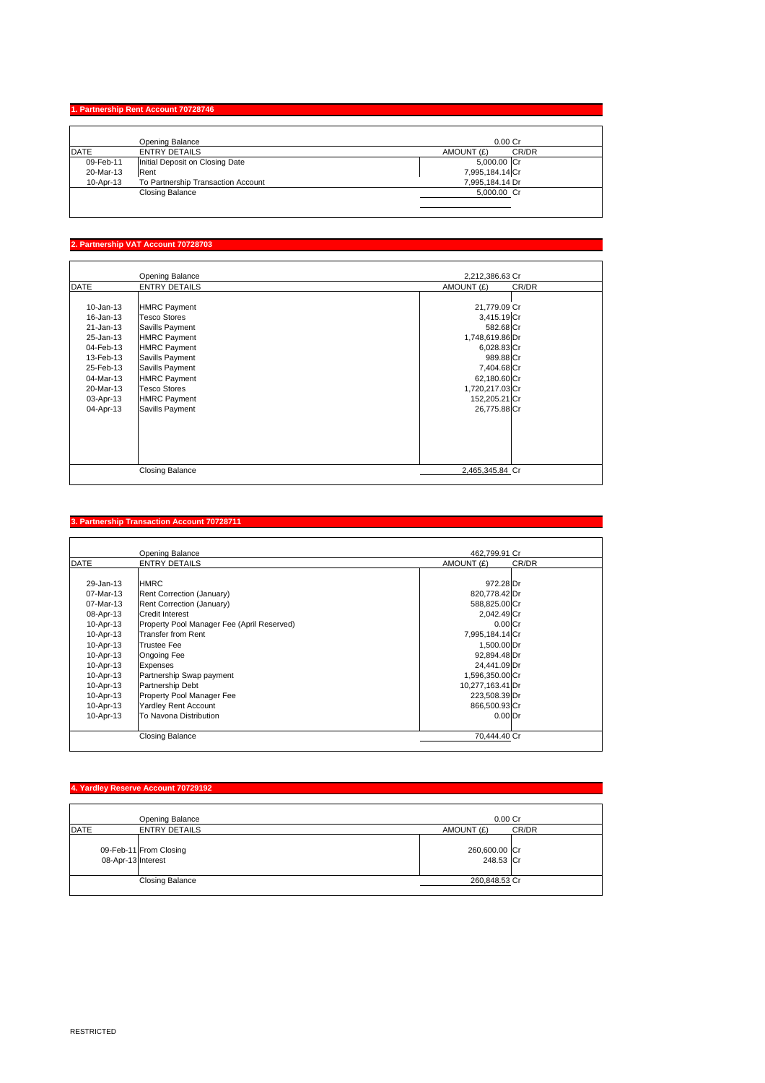# **1. Partnership Rent Account 70728746**

|           | Opening Balance                    | $0.00C$ r           |
|-----------|------------------------------------|---------------------|
| DATE      | <b>ENTRY DETAILS</b>               | CR/DR<br>AMOUNT (£) |
| 09-Feb-11 | Initial Deposit on Closing Date    | 5,000.00 Cr         |
| 20-Mar-13 | Rent                               | 7,995,184.14 Cr     |
| 10-Apr-13 | To Partnership Transaction Account | 7,995,184.14 Dr     |
|           | Closing Balance                    | 5,000.00 Cr         |
|           |                                    |                     |

#### tnership VAT A<mark>c</mark>

|               | Opening Balance        | 2,212,386.63 Cr     |  |
|---------------|------------------------|---------------------|--|
| <b>DATE</b>   | <b>ENTRY DETAILS</b>   | AMOUNT (£)<br>CR/DR |  |
|               |                        |                     |  |
| $10 - Jan-13$ | <b>HMRC Payment</b>    | 21,779.09 Cr        |  |
| 16-Jan-13     | <b>Tesco Stores</b>    | 3,415.19 Cr         |  |
| 21-Jan-13     | Savills Payment        | 582.68 Cr           |  |
| 25-Jan-13     | <b>HMRC Payment</b>    | 1,748,619.86 Dr     |  |
| 04-Feb-13     | <b>HMRC Payment</b>    | 6,028.83 Cr         |  |
| 13-Feb-13     | Savills Payment        | 989.88 Cr           |  |
| 25-Feb-13     | Savills Payment        | 7,404.68 Cr         |  |
| 04-Mar-13     | <b>HMRC Payment</b>    | 62,180.60 Cr        |  |
| 20-Mar-13     | <b>Tesco Stores</b>    | 1,720,217.03 Cr     |  |
| 03-Apr-13     | <b>HMRC Payment</b>    | 152,205.21 Cr       |  |
| 04-Apr-13     | Savills Payment        | 26,775.88 Cr        |  |
|               |                        |                     |  |
|               |                        |                     |  |
|               |                        |                     |  |
|               |                        |                     |  |
|               |                        |                     |  |
|               | <b>Closing Balance</b> | 2,465,345.84 Cr     |  |

#### **3. Partnership Transaction Account 70728711**

|             | Opening Balance                            | 462.799.91 Cr       |  |
|-------------|--------------------------------------------|---------------------|--|
| <b>DATE</b> | <b>ENTRY DETAILS</b>                       | AMOUNT (£)<br>CR/DR |  |
|             |                                            |                     |  |
| 29-Jan-13   | <b>HMRC</b>                                | 972.28 Dr           |  |
| 07-Mar-13   | Rent Correction (January)                  | 820,778.42 Dr       |  |
| 07-Mar-13   | Rent Correction (January)                  | 588,825.00 Cr       |  |
| 08-Apr-13   | Credit Interest                            | 2,042.49 Cr         |  |
| 10-Apr-13   | Property Pool Manager Fee (April Reserved) | $0.00$ Cr           |  |
| 10-Apr-13   | <b>Transfer from Rent</b>                  | 7,995,184.14 Cr     |  |
| 10-Apr-13   | <b>Trustee Fee</b>                         | 1,500.00 Dr         |  |
| 10-Apr-13   | Ongoing Fee                                | 92,894.48 Dr        |  |
| 10-Apr-13   | <b>Expenses</b>                            | 24,441.09 Dr        |  |
| 10-Apr-13   | Partnership Swap payment                   | 1,596,350.00 Cr     |  |
| 10-Apr-13   | Partnership Debt                           | 10,277,163.41 Dr    |  |
| 10-Apr-13   | Property Pool Manager Fee                  | 223,508.39 Dr       |  |
| 10-Apr-13   | Yardley Rent Account                       | 866,500.93 Cr       |  |
| 10-Apr-13   | To Navona Distribution                     | 0.00 <sub>Dr</sub>  |  |
|             | Closing Balance                            | 70.444.40 Cr        |  |

|                    | 4. Yardley Reserve Account 70729192 |                            |       |
|--------------------|-------------------------------------|----------------------------|-------|
|                    | Opening Balance                     | 0.00 Cr                    |       |
| <b>DATE</b>        | <b>ENTRY DETAILS</b>                | AMOUNT (£)                 | CR/DR |
| 08-Apr-13 Interest | 09-Feb-11 From Closing              | 260,600.00 Cr<br>248.53 Cr |       |
|                    | <b>Closing Balance</b>              | 260,848.53 Cr              |       |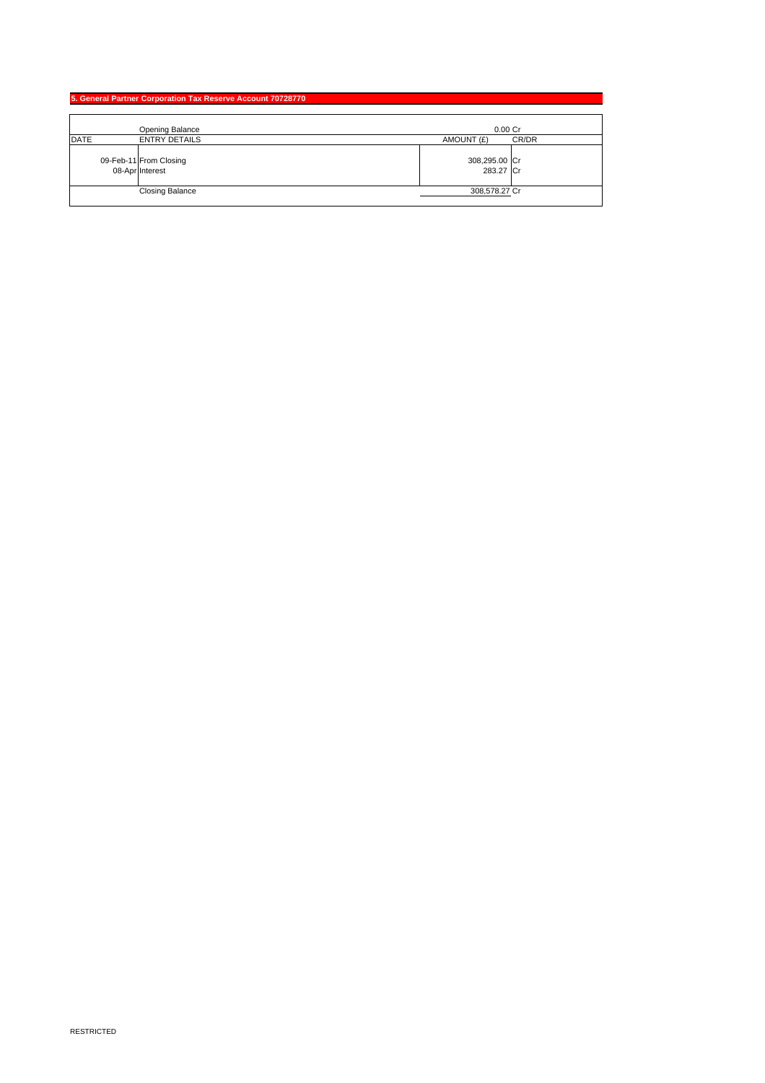|             | 5. General Partner Corporation Tax Reserve Account 70728770 |                                           |                            |       |
|-------------|-------------------------------------------------------------|-------------------------------------------|----------------------------|-------|
|             |                                                             |                                           |                            |       |
|             |                                                             | Opening Balance                           | $0.00$ Cr                  |       |
| <b>DATE</b> |                                                             | <b>ENTRY DETAILS</b>                      | AMOUNT (£)                 | CR/DR |
|             |                                                             | 09-Feb-11 From Closing<br>08-Apr Interest | 308,295.00 Cr<br>283.27 Cr |       |
|             |                                                             | <b>Closing Balance</b>                    | 308,578.27 Cr              |       |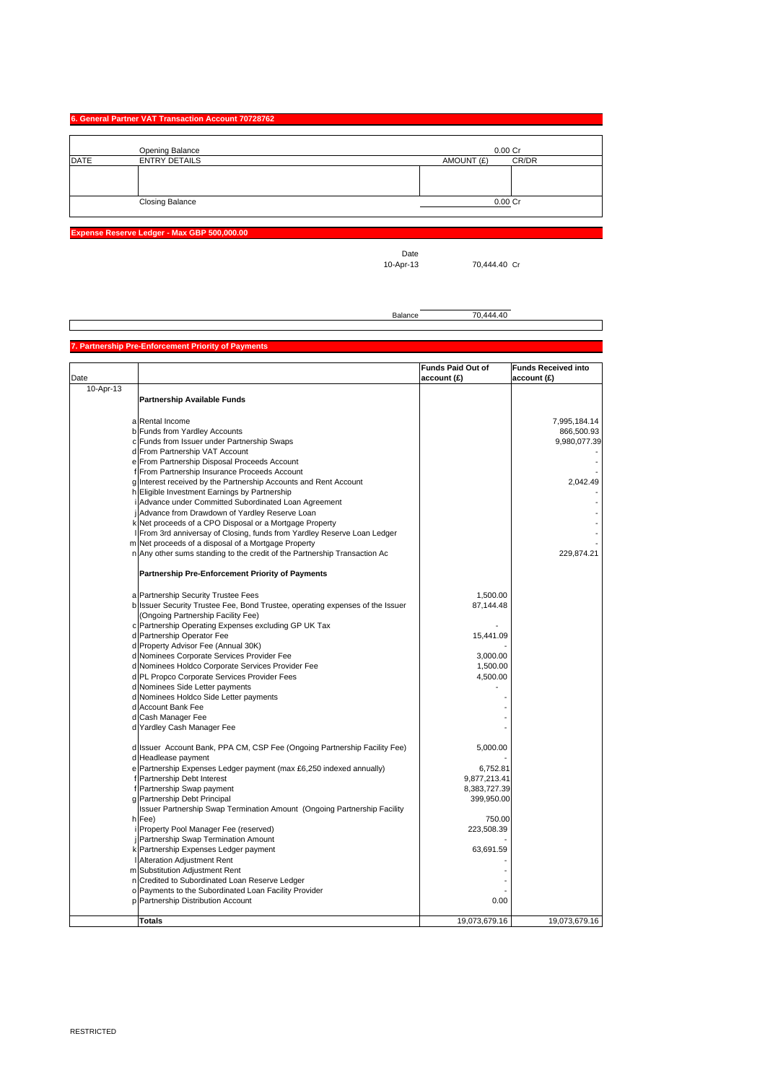## **6. General Partner VAT Transaction Account 70728762**

|             | Opening Balance        | 0.00 Cr             |
|-------------|------------------------|---------------------|
| <b>DATE</b> | <b>ENTRY DETAILS</b>   | CR/DR<br>AMOUNT (£) |
|             |                        |                     |
|             |                        |                     |
|             |                        |                     |
|             | <b>Closing Balance</b> | 0.00 Cr             |

**Expense Reserve Ledger - Max GBP 500,000.00**

Date<br>10-Apr-13

70,444.40 Cr

Balance 70,444.40

#### **Partnership Pre-Enforcement Priority of Pa**

|           |                                                                               | <b>Funds Paid Out of</b> | <b>Funds Received into</b> |
|-----------|-------------------------------------------------------------------------------|--------------------------|----------------------------|
| Date      |                                                                               | account (£)              | account (£)                |
| 10-Apr-13 | <b>Partnership Available Funds</b>                                            |                          |                            |
|           |                                                                               |                          |                            |
|           | a Rental Income                                                               |                          | 7,995,184.14               |
|           | b Funds from Yardley Accounts                                                 |                          | 866,500.93                 |
|           | c Funds from Issuer under Partnership Swaps                                   |                          | 9,980,077.39               |
|           | d From Partnership VAT Account                                                |                          |                            |
|           | e From Partnership Disposal Proceeds Account                                  |                          |                            |
|           | f From Partnership Insurance Proceeds Account                                 |                          |                            |
|           | g Interest received by the Partnership Accounts and Rent Account              |                          | 2,042.49                   |
|           | h Eligible Investment Earnings by Partnership                                 |                          |                            |
|           | i Advance under Committed Subordinated Loan Agreement                         |                          |                            |
|           | j Advance from Drawdown of Yardley Reserve Loan                               |                          |                            |
|           | k Net proceeds of a CPO Disposal or a Mortgage Property                       |                          |                            |
|           | I From 3rd anniversay of Closing, funds from Yardley Reserve Loan Ledger      |                          |                            |
|           | m Net proceeds of a disposal of a Mortgage Property                           |                          |                            |
|           | n Any other sums standing to the credit of the Partnership Transaction Ac     |                          | 229,874.21                 |
|           | Partnership Pre-Enforcement Priority of Payments                              |                          |                            |
|           | a Partnership Security Trustee Fees                                           | 1,500.00                 |                            |
|           | b Issuer Security Trustee Fee, Bond Trustee, operating expenses of the Issuer | 87,144.48                |                            |
|           | (Ongoing Partnership Facility Fee)                                            |                          |                            |
|           | c Partnership Operating Expenses excluding GP UK Tax                          |                          |                            |
|           | d Partnership Operator Fee                                                    | 15,441.09                |                            |
|           | d Property Advisor Fee (Annual 30K)                                           |                          |                            |
|           | d Nominees Corporate Services Provider Fee                                    | 3,000.00                 |                            |
|           | d Nominees Holdco Corporate Services Provider Fee                             | 1,500.00                 |                            |
|           | d PL Propco Corporate Services Provider Fees                                  | 4,500.00                 |                            |
|           | d Nominees Side Letter payments                                               |                          |                            |
|           | d Nominees Holdco Side Letter payments                                        |                          |                            |
|           | d Account Bank Fee                                                            |                          |                            |
|           | d Cash Manager Fee                                                            |                          |                            |
|           | d Yardley Cash Manager Fee                                                    |                          |                            |
|           | d Issuer Account Bank, PPA CM, CSP Fee (Ongoing Partnership Facility Fee)     | 5,000.00                 |                            |
|           | d Headlease payment                                                           |                          |                            |
|           | e Partnership Expenses Ledger payment (max £6,250 indexed annually)           | 6,752.81                 |                            |
|           | f Partnership Debt Interest                                                   | 9,877,213.41             |                            |
|           | f Partnership Swap payment                                                    | 8,383,727.39             |                            |
|           | g Partnership Debt Principal                                                  | 399,950.00               |                            |
|           | Issuer Partnership Swap Termination Amount (Ongoing Partnership Facility      |                          |                            |
|           | h Fee)                                                                        | 750.00                   |                            |
|           | i Property Pool Manager Fee (reserved)                                        | 223,508.39               |                            |
|           | j Partnership Swap Termination Amount                                         |                          |                            |
|           | k Partnership Expenses Ledger payment                                         | 63,691.59                |                            |
|           | I Alteration Adjustment Rent                                                  |                          |                            |
|           | m Substitution Adjustment Rent                                                |                          |                            |
|           | n Credited to Subordinated Loan Reserve Ledger                                |                          |                            |
|           | o Payments to the Subordinated Loan Facility Provider                         |                          |                            |
|           | p Partnership Distribution Account                                            | 0.00                     |                            |
|           |                                                                               |                          |                            |
|           | <b>Totals</b>                                                                 | 19,073,679.16            | 19,073,679.16              |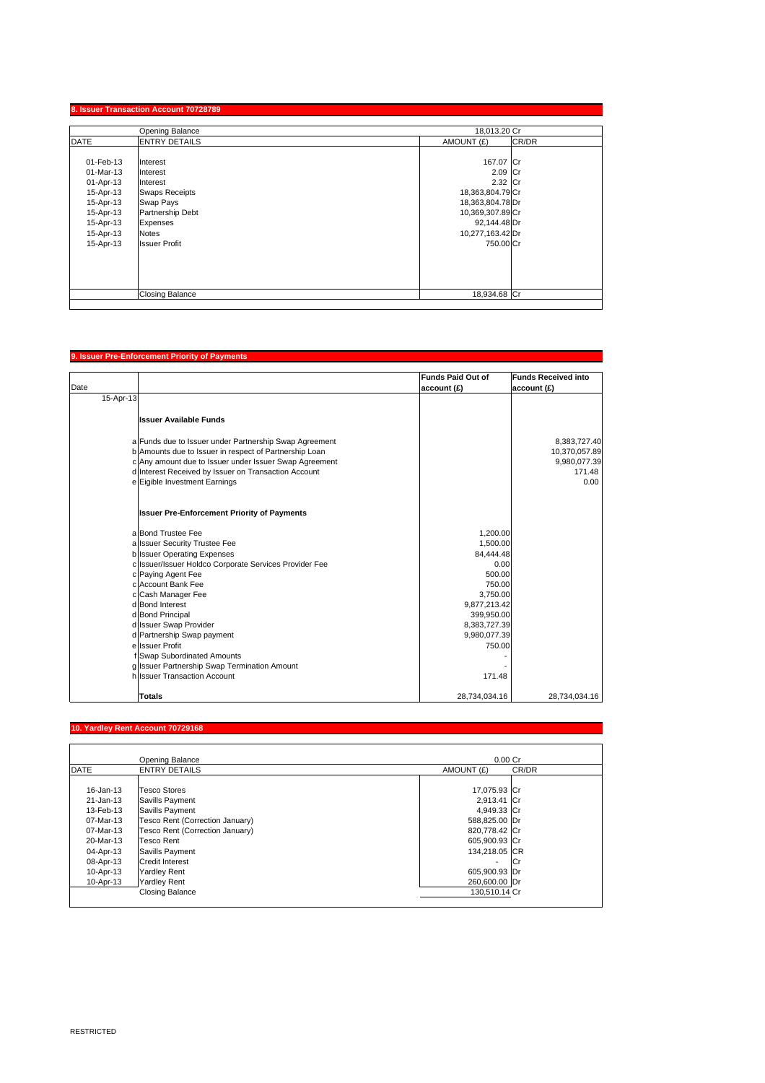| Opening Balance |                        | 18,013.20 Cr     |       |
|-----------------|------------------------|------------------|-------|
| <b>DATE</b>     | <b>ENTRY DETAILS</b>   | AMOUNT (£)       | CR/DR |
| 01-Feb-13       | Interest               | 167.07 Cr        |       |
| 01-Mar-13       | Interest               | 2.09 Cr          |       |
| 01-Apr-13       | Interest               | 2.32 Cr          |       |
| 15-Apr-13       | <b>Swaps Receipts</b>  | 18,363,804.79 Cr |       |
| 15-Apr-13       | Swap Pays              | 18,363,804.78 Dr |       |
| 15-Apr-13       | Partnership Debt       | 10,369,307.89 Cr |       |
| 15-Apr-13       | Expenses               | 92,144.48 Dr     |       |
| 15-Apr-13       | <b>Notes</b>           | 10,277,163.42 Dr |       |
| 15-Apr-13       | <b>Issuer Profit</b>   | 750.00 Cr        |       |
|                 |                        |                  |       |
|                 |                        |                  |       |
|                 | <b>Closing Balance</b> | 18,934.68 Cr     |       |

## **9. Issuer Pre-Enforcement Priority of Payments**

|           |                                                        | <b>Funds Paid Out of</b> | <b>Funds Received into</b> |
|-----------|--------------------------------------------------------|--------------------------|----------------------------|
| Date      |                                                        | account (£)              | account (£)                |
| 15-Apr-13 |                                                        |                          |                            |
|           | <b>Issuer Available Funds</b>                          |                          |                            |
|           |                                                        |                          |                            |
|           | a Funds due to Issuer under Partnership Swap Agreement |                          | 8,383,727.40               |
|           | b Amounts due to Issuer in respect of Partnership Loan |                          | 10,370,057.89              |
|           | c Any amount due to Issuer under Issuer Swap Agreement |                          | 9,980,077.39               |
|           | d Interest Received by Issuer on Transaction Account   |                          | 171.48                     |
|           | e Eigible Investment Earnings                          |                          | 0.00                       |
|           | <b>Issuer Pre-Enforcement Priority of Payments</b>     |                          |                            |
|           | a Bond Trustee Fee                                     | 1,200.00                 |                            |
|           | a Issuer Security Trustee Fee                          | 1,500.00                 |                            |
|           | b Issuer Operating Expenses                            | 84,444.48                |                            |
|           | c Issuer/Issuer Holdco Corporate Services Provider Fee | 0.00                     |                            |
|           | c Paying Agent Fee                                     | 500.00                   |                            |
|           | c Account Bank Fee                                     | 750.00                   |                            |
|           | c Cash Manager Fee                                     | 3,750.00                 |                            |
|           | d Bond Interest                                        | 9,877,213.42             |                            |
|           | d Bond Principal                                       | 399,950.00               |                            |
|           | d Issuer Swap Provider                                 | 8,383,727.39             |                            |
|           | d Partnership Swap payment                             | 9,980,077.39             |                            |
|           | e Issuer Profit                                        | 750.00                   |                            |
|           | f Swap Subordinated Amounts                            |                          |                            |
|           | g Issuer Partnership Swap Termination Amount           |                          |                            |
|           | h Issuer Transaction Account                           | 171.48                   |                            |
|           | <b>Totals</b>                                          | 28,734,034.16            | 28,734,034.16              |

### **10. Yardley Rent Account 70729168**

|             | Opening Balance                 | $0.00C$ r                |       |
|-------------|---------------------------------|--------------------------|-------|
| <b>DATE</b> | <b>ENTRY DETAILS</b>            | AMOUNT (£)               | CR/DR |
| 16-Jan-13   | <b>Tesco Stores</b>             | 17,075.93 Cr             |       |
| 21-Jan-13   | Savills Payment                 | 2,913.41 Cr              |       |
| 13-Feb-13   | Savills Payment                 | 4,949.33 Cr              |       |
| 07-Mar-13   | Tesco Rent (Correction January) | 588,825.00 Dr            |       |
| 07-Mar-13   | Tesco Rent (Correction January) | 820,778.42 Cr            |       |
| 20-Mar-13   | <b>Tesco Rent</b>               | 605,900.93 Cr            |       |
| 04-Apr-13   | Savills Payment                 | 134,218.05 CR            |       |
| 08-Apr-13   | Credit Interest                 | $\overline{\phantom{a}}$ | Cr    |
| 10-Apr-13   | <b>Yardley Rent</b>             | 605,900.93 Dr            |       |
| 10-Apr-13   | <b>Yardley Rent</b>             | 260,600.00 Dr            |       |
|             | <b>Closing Balance</b>          | 130.510.14 Cr            |       |